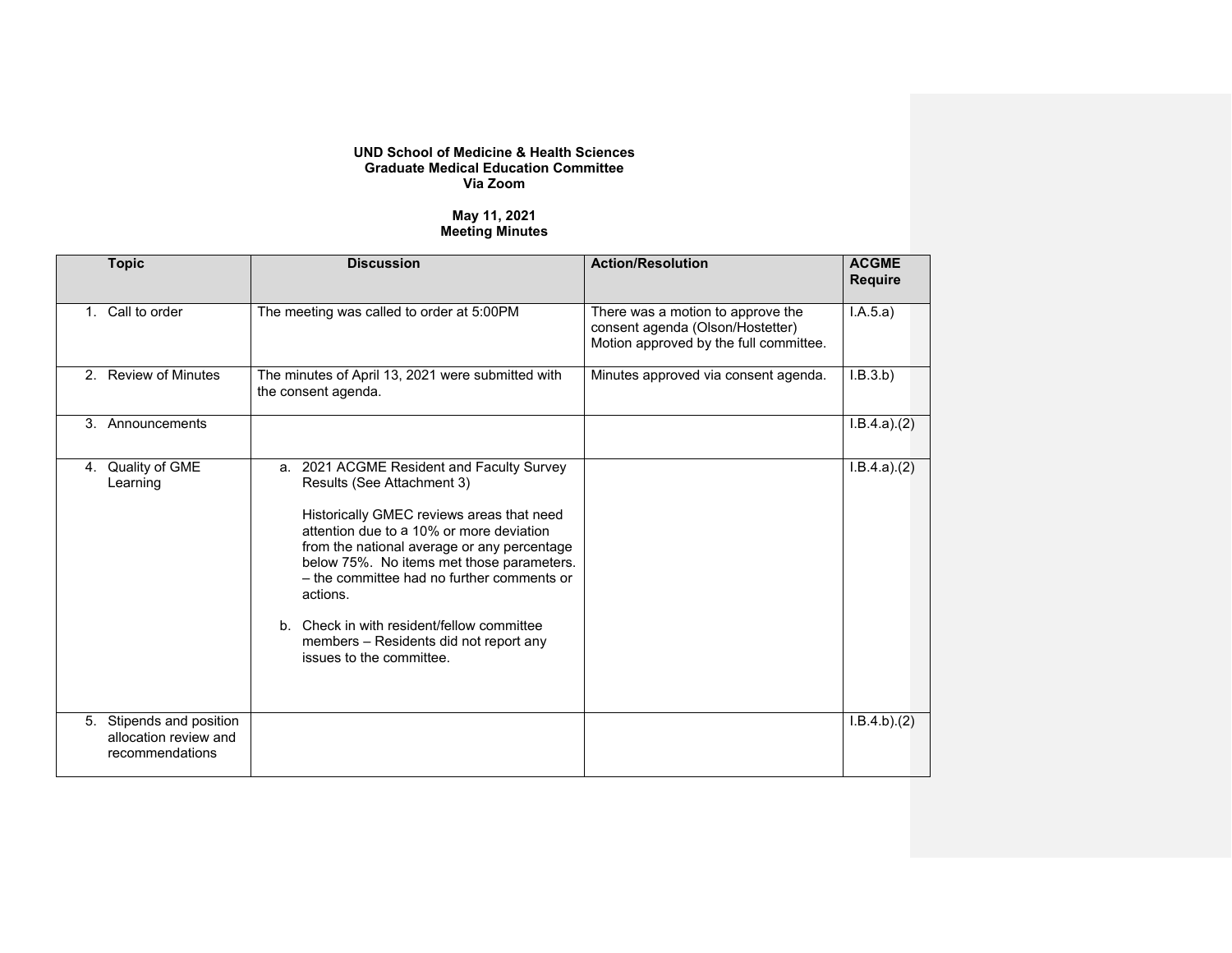## **UND School of Medicine & Health Sciences Graduate Medical Education Committee Via Zoom**

## **May 11, 2021 Meeting Minutes**

|         | <b>Topic</b>                                                         | <b>Discussion</b>                                                                                                                                                                                                                                                                                                                                                                                                                          | <b>Action/Resolution</b>                                                                                        | <b>ACGME</b><br><b>Require</b> |
|---------|----------------------------------------------------------------------|--------------------------------------------------------------------------------------------------------------------------------------------------------------------------------------------------------------------------------------------------------------------------------------------------------------------------------------------------------------------------------------------------------------------------------------------|-----------------------------------------------------------------------------------------------------------------|--------------------------------|
| $1_{-}$ | Call to order                                                        | The meeting was called to order at 5:00PM                                                                                                                                                                                                                                                                                                                                                                                                  | There was a motion to approve the<br>consent agenda (Olson/Hostetter)<br>Motion approved by the full committee. | I.A.5.a)                       |
|         | 2. Review of Minutes                                                 | The minutes of April 13, 2021 were submitted with<br>the consent agenda.                                                                                                                                                                                                                                                                                                                                                                   | Minutes approved via consent agenda.                                                                            | I.B.3.b)                       |
| 3.      | Announcements                                                        |                                                                                                                                                                                                                                                                                                                                                                                                                                            |                                                                                                                 | I.B.4.a)(2)                    |
| 4.      | Quality of GME<br>Learning                                           | a. 2021 ACGME Resident and Faculty Survey<br>Results (See Attachment 3)<br>Historically GMEC reviews areas that need<br>attention due to a 10% or more deviation<br>from the national average or any percentage<br>below 75%. No items met those parameters.<br>- the committee had no further comments or<br>actions.<br>b. Check in with resident/fellow committee<br>members - Residents did not report any<br>issues to the committee. |                                                                                                                 | I.B.4.a)(2)                    |
|         | 5. Stipends and position<br>allocation review and<br>recommendations |                                                                                                                                                                                                                                                                                                                                                                                                                                            |                                                                                                                 | I.B.4.b)(2)                    |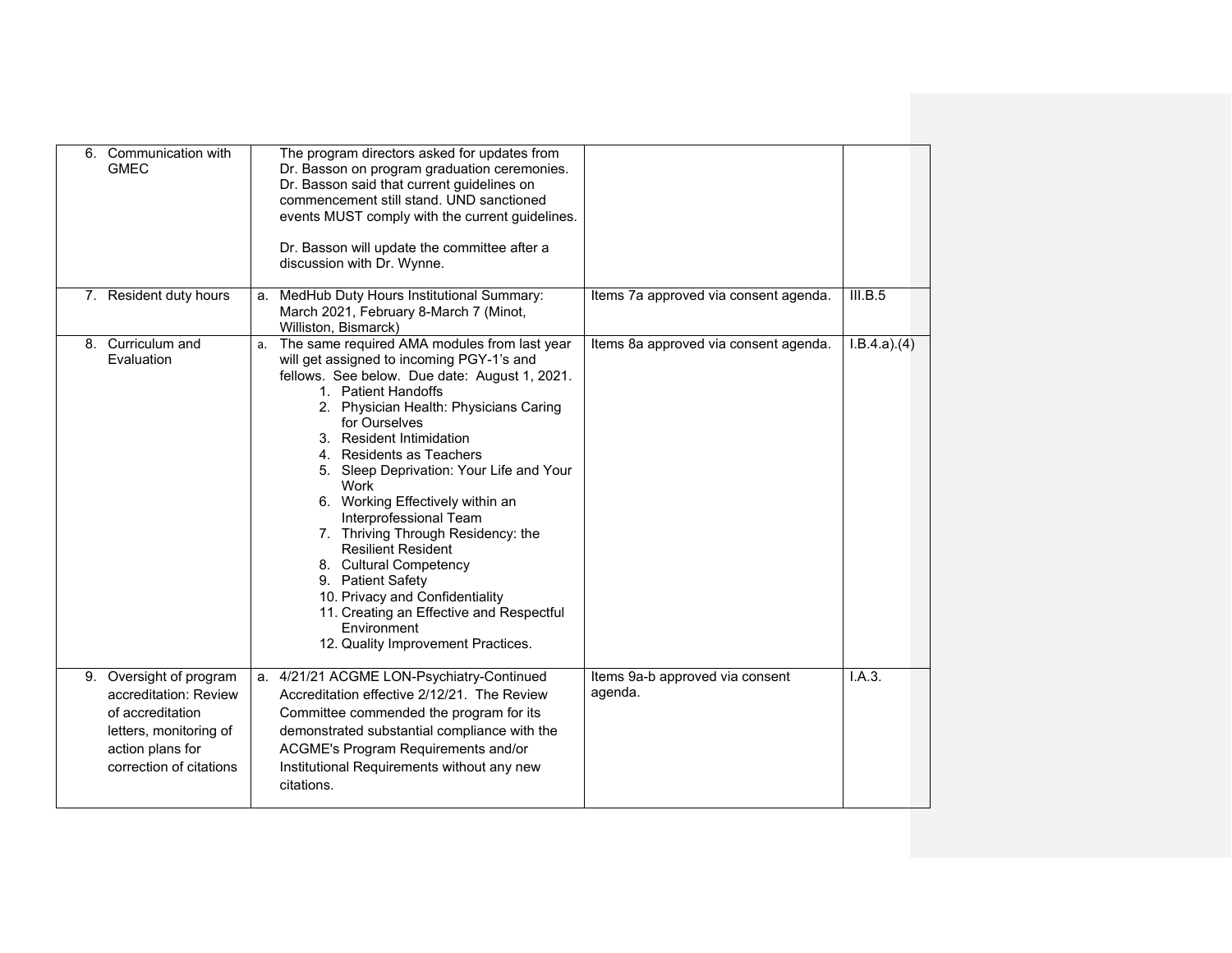| 6. Communication with<br><b>GMEC</b>                                                                                                          | The program directors asked for updates from<br>Dr. Basson on program graduation ceremonies.<br>Dr. Basson said that current guidelines on<br>commencement still stand. UND sanctioned<br>events MUST comply with the current guidelines.<br>Dr. Basson will update the committee after a<br>discussion with Dr. Wynne.                                                                                                                                                                                                                                                                                                                                         |                                            |             |
|-----------------------------------------------------------------------------------------------------------------------------------------------|-----------------------------------------------------------------------------------------------------------------------------------------------------------------------------------------------------------------------------------------------------------------------------------------------------------------------------------------------------------------------------------------------------------------------------------------------------------------------------------------------------------------------------------------------------------------------------------------------------------------------------------------------------------------|--------------------------------------------|-------------|
| 7. Resident duty hours                                                                                                                        | MedHub Duty Hours Institutional Summary:<br>a.<br>March 2021, February 8-March 7 (Minot,<br>Williston, Bismarck)                                                                                                                                                                                                                                                                                                                                                                                                                                                                                                                                                | Items 7a approved via consent agenda.      | III.B.5     |
| 8. Curriculum and<br>Evaluation                                                                                                               | a. The same required AMA modules from last year<br>will get assigned to incoming PGY-1's and<br>fellows. See below. Due date: August 1, 2021.<br>1. Patient Handoffs<br>2. Physician Health: Physicians Caring<br>for Ourselves<br>3. Resident Intimidation<br>4. Residents as Teachers<br>5. Sleep Deprivation: Your Life and Your<br>Work<br>6. Working Effectively within an<br>Interprofessional Team<br>7. Thriving Through Residency: the<br><b>Resilient Resident</b><br>8. Cultural Competency<br>9. Patient Safety<br>10. Privacy and Confidentiality<br>11. Creating an Effective and Respectful<br>Environment<br>12. Quality Improvement Practices. | Items 8a approved via consent agenda.      | I.B.4.a)(4) |
| 9. Oversight of program<br>accreditation: Review<br>of accreditation<br>letters, monitoring of<br>action plans for<br>correction of citations | a. 4/21/21 ACGME LON-Psychiatry-Continued<br>Accreditation effective 2/12/21. The Review<br>Committee commended the program for its<br>demonstrated substantial compliance with the<br>ACGME's Program Requirements and/or<br>Institutional Requirements without any new<br>citations.                                                                                                                                                                                                                                                                                                                                                                          | Items 9a-b approved via consent<br>agenda. | I.A.3.      |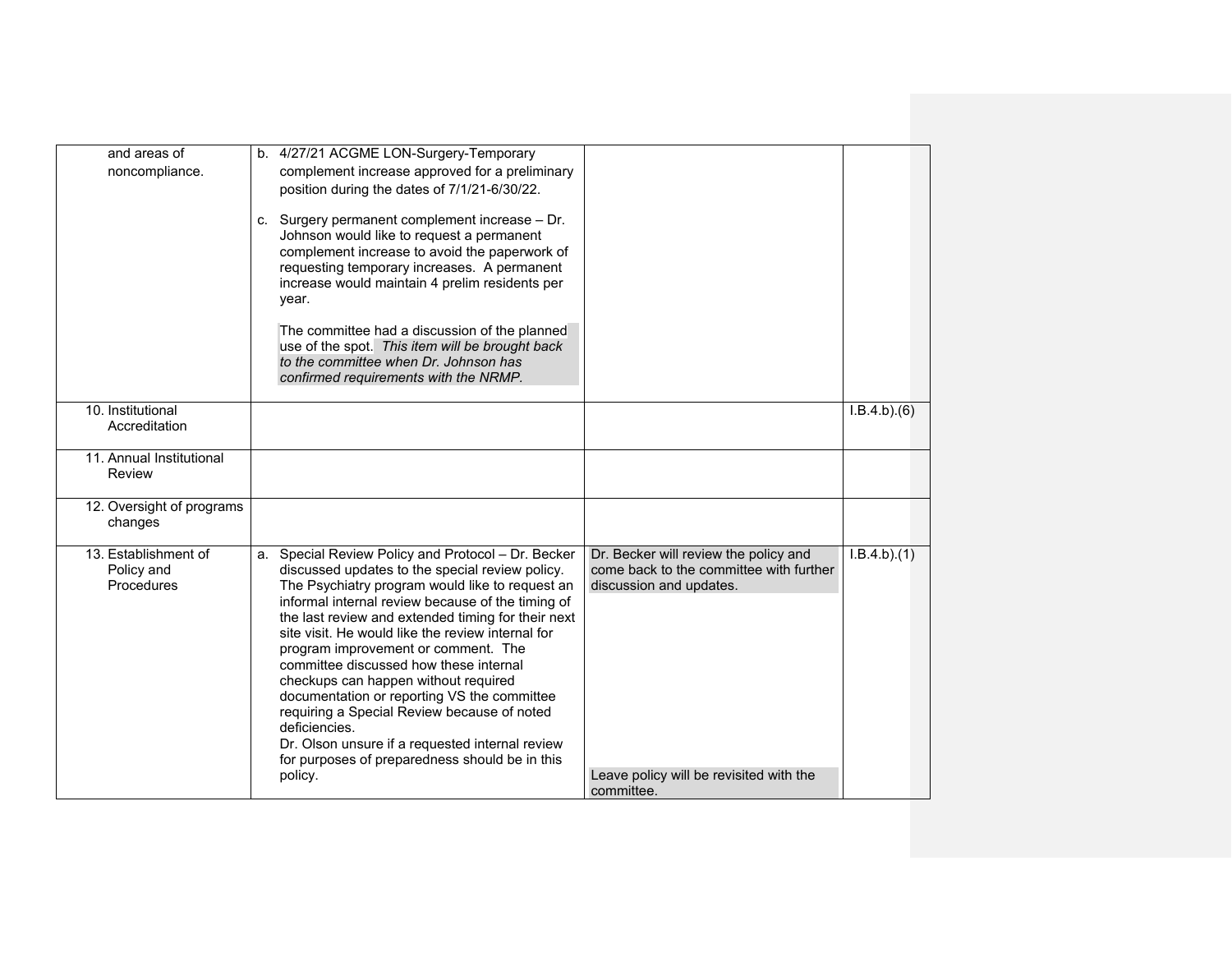| and areas of<br>noncompliance.                   | b. 4/27/21 ACGME LON-Surgery-Temporary<br>complement increase approved for a preliminary<br>position during the dates of 7/1/21-6/30/22.                                                                                                                                                                                                                                                                                                                                                                                                                                                                                                                                                                                                                                                                                                   |             |
|--------------------------------------------------|--------------------------------------------------------------------------------------------------------------------------------------------------------------------------------------------------------------------------------------------------------------------------------------------------------------------------------------------------------------------------------------------------------------------------------------------------------------------------------------------------------------------------------------------------------------------------------------------------------------------------------------------------------------------------------------------------------------------------------------------------------------------------------------------------------------------------------------------|-------------|
|                                                  | c. Surgery permanent complement increase - Dr.<br>Johnson would like to request a permanent<br>complement increase to avoid the paperwork of<br>requesting temporary increases. A permanent<br>increase would maintain 4 prelim residents per<br>year.                                                                                                                                                                                                                                                                                                                                                                                                                                                                                                                                                                                     |             |
|                                                  | The committee had a discussion of the planned<br>use of the spot. This item will be brought back<br>to the committee when Dr. Johnson has<br>confirmed requirements with the NRMP.                                                                                                                                                                                                                                                                                                                                                                                                                                                                                                                                                                                                                                                         |             |
| 10. Institutional<br>Accreditation               |                                                                                                                                                                                                                                                                                                                                                                                                                                                                                                                                                                                                                                                                                                                                                                                                                                            | I.B.4.b)(6) |
| 11. Annual Institutional<br>Review               |                                                                                                                                                                                                                                                                                                                                                                                                                                                                                                                                                                                                                                                                                                                                                                                                                                            |             |
| 12. Oversight of programs<br>changes             |                                                                                                                                                                                                                                                                                                                                                                                                                                                                                                                                                                                                                                                                                                                                                                                                                                            |             |
| 13. Establishment of<br>Policy and<br>Procedures | a. Special Review Policy and Protocol - Dr. Becker<br>Dr. Becker will review the policy and<br>discussed updates to the special review policy.<br>come back to the committee with further<br>The Psychiatry program would like to request an<br>discussion and updates.<br>informal internal review because of the timing of<br>the last review and extended timing for their next<br>site visit. He would like the review internal for<br>program improvement or comment. The<br>committee discussed how these internal<br>checkups can happen without required<br>documentation or reporting VS the committee<br>requiring a Special Review because of noted<br>deficiencies.<br>Dr. Olson unsure if a requested internal review<br>for purposes of preparedness should be in this<br>Leave policy will be revisited with the<br>policy. | I.B.4.b)(1) |
|                                                  | committee.                                                                                                                                                                                                                                                                                                                                                                                                                                                                                                                                                                                                                                                                                                                                                                                                                                 |             |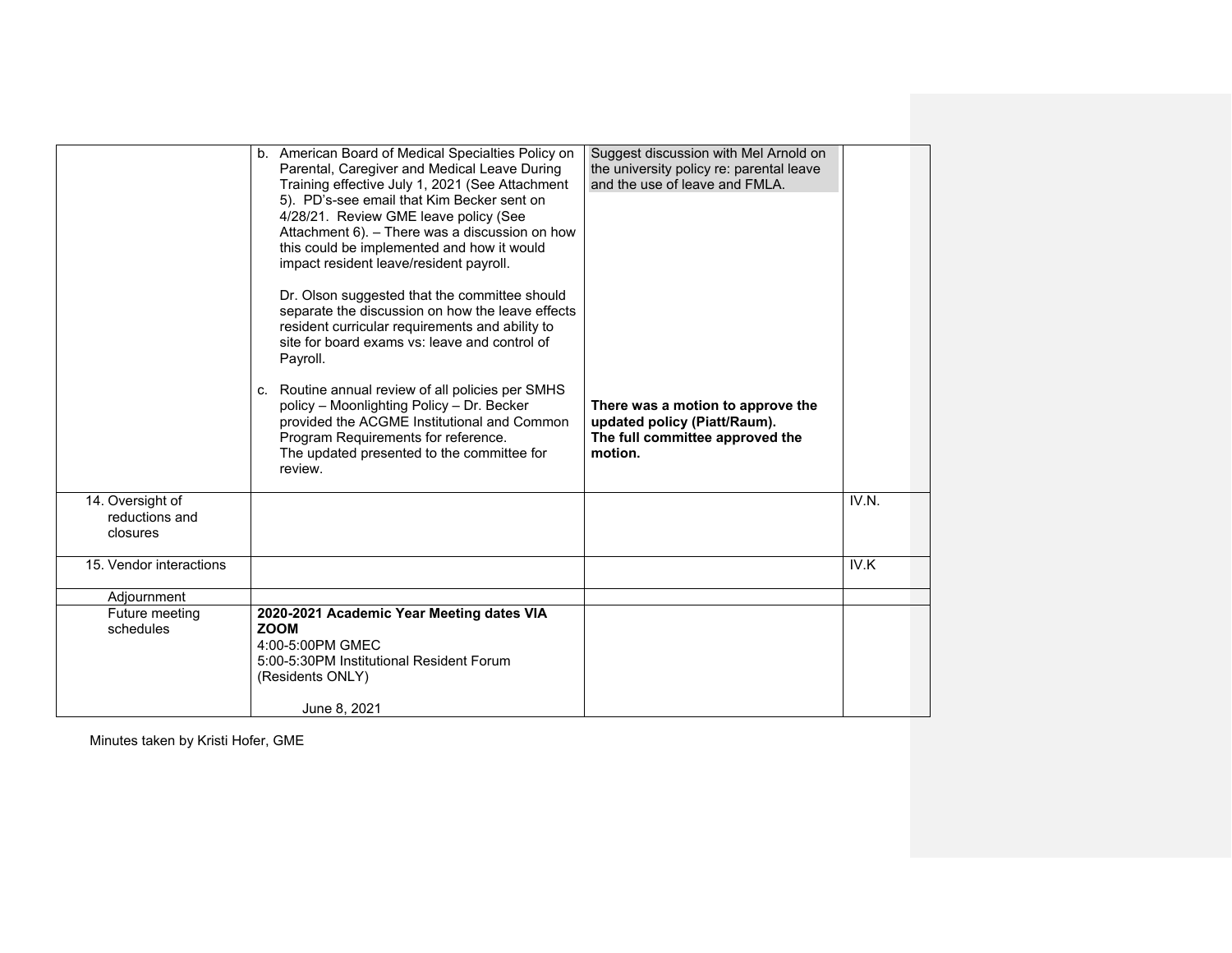|                                                | b. American Board of Medical Specialties Policy on<br>Parental, Caregiver and Medical Leave During<br>Training effective July 1, 2021 (See Attachment<br>5). PD's-see email that Kim Becker sent on<br>4/28/21. Review GME leave policy (See<br>Attachment 6). - There was a discussion on how<br>this could be implemented and how it would<br>impact resident leave/resident payroll.<br>Dr. Olson suggested that the committee should<br>separate the discussion on how the leave effects<br>resident curricular requirements and ability to<br>site for board exams vs: leave and control of<br>Payroll.<br>c. Routine annual review of all policies per SMHS<br>policy - Moonlighting Policy - Dr. Becker | Suggest discussion with Mel Arnold on<br>the university policy re: parental leave<br>and the use of leave and FMLA.<br>There was a motion to approve the |       |
|------------------------------------------------|----------------------------------------------------------------------------------------------------------------------------------------------------------------------------------------------------------------------------------------------------------------------------------------------------------------------------------------------------------------------------------------------------------------------------------------------------------------------------------------------------------------------------------------------------------------------------------------------------------------------------------------------------------------------------------------------------------------|----------------------------------------------------------------------------------------------------------------------------------------------------------|-------|
|                                                | provided the ACGME Institutional and Common<br>Program Requirements for reference.<br>The updated presented to the committee for<br>review.                                                                                                                                                                                                                                                                                                                                                                                                                                                                                                                                                                    | updated policy (Piatt/Raum).<br>The full committee approved the<br>motion.                                                                               |       |
| 14. Oversight of<br>reductions and<br>closures |                                                                                                                                                                                                                                                                                                                                                                                                                                                                                                                                                                                                                                                                                                                |                                                                                                                                                          | IV.N. |
| 15. Vendor interactions                        |                                                                                                                                                                                                                                                                                                                                                                                                                                                                                                                                                                                                                                                                                                                |                                                                                                                                                          | IV.K  |
| Adjournment                                    |                                                                                                                                                                                                                                                                                                                                                                                                                                                                                                                                                                                                                                                                                                                |                                                                                                                                                          |       |
| Future meeting<br>schedules                    | 2020-2021 Academic Year Meeting dates VIA<br><b>ZOOM</b><br>4:00-5:00PM GMEC<br>5:00-5:30PM Institutional Resident Forum<br>(Residents ONLY)<br>June 8, 2021                                                                                                                                                                                                                                                                                                                                                                                                                                                                                                                                                   |                                                                                                                                                          |       |

Minutes taken by Kristi Hofer, GME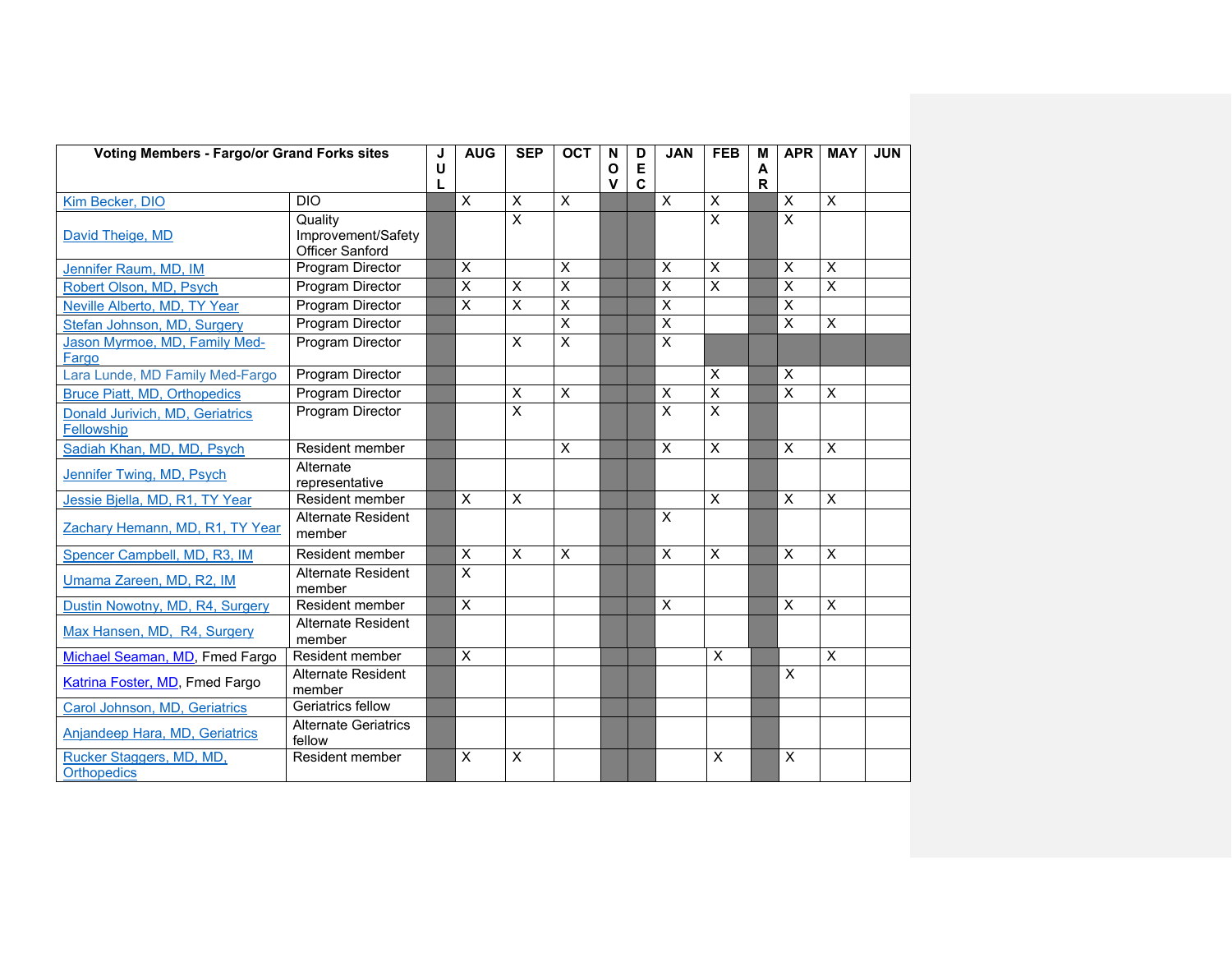| <b>Voting Members - Fargo/or Grand Forks sites</b> |                                                  | J<br>U | <b>AUG</b>              | <b>SEP</b>              | <b>OCT</b>              | N<br>$\mathbf{o}$ | D<br>E      | <b>JAN</b>              | <b>FEB</b>              | M<br>A       | <b>APR</b>                | <b>MAY</b>              | <b>JUN</b> |
|----------------------------------------------------|--------------------------------------------------|--------|-------------------------|-------------------------|-------------------------|-------------------|-------------|-------------------------|-------------------------|--------------|---------------------------|-------------------------|------------|
|                                                    |                                                  | L      |                         |                         |                         | $\mathbf v$       | $\mathbf c$ |                         |                         | $\mathsf{R}$ |                           |                         |            |
| Kim Becker, DIO                                    | <b>DIO</b>                                       |        | $\overline{\mathsf{x}}$ | $\overline{X}$          | $\overline{\mathsf{x}}$ |                   |             | $\overline{\mathsf{x}}$ | $\overline{\mathsf{x}}$ |              | $\pmb{\times}$            | $\overline{\mathsf{x}}$ |            |
| David Theige, MD                                   | Quality<br>Improvement/Safety<br>Officer Sanford |        |                         | $\overline{\mathsf{x}}$ |                         |                   |             |                         | $\overline{\mathsf{x}}$ |              | $\overline{\mathsf{x}}$   |                         |            |
| Jennifer Raum, MD, IM                              | Program Director                                 |        | $\overline{\mathsf{x}}$ |                         | $\overline{\mathsf{x}}$ |                   |             | $\overline{\mathsf{x}}$ | $\overline{X}$          |              | $\overline{\mathsf{x}}$   | X                       |            |
| Robert Olson, MD, Psych                            | Program Director                                 |        | $\overline{\mathsf{x}}$ | $\overline{\mathsf{x}}$ | $\overline{\mathsf{x}}$ |                   |             | $\overline{\mathsf{x}}$ | $\overline{\mathsf{x}}$ |              | $\overline{\mathsf{x}}$   | $\overline{\mathsf{x}}$ |            |
| Neville Alberto, MD, TY Year                       | Program Director                                 |        | $\overline{\mathsf{x}}$ | $\overline{\mathsf{x}}$ | $\overline{\mathsf{x}}$ |                   |             | $\overline{\mathsf{x}}$ |                         |              | $\overline{\mathsf{x}}$   |                         |            |
| Stefan Johnson, MD, Surgery                        | Program Director                                 |        |                         |                         | $\overline{\mathsf{x}}$ |                   |             | $\overline{\mathsf{x}}$ |                         |              | X                         | X                       |            |
| Jason Myrmoe, MD, Family Med-<br>Fargo             | Program Director                                 |        |                         | X                       | $\overline{\mathsf{x}}$ |                   |             | $\overline{\mathsf{x}}$ |                         |              |                           |                         |            |
| Lara Lunde, MD Family Med-Fargo                    | Program Director                                 |        |                         |                         |                         |                   |             |                         | X                       |              | X                         |                         |            |
| <b>Bruce Piatt, MD, Orthopedics</b>                | Program Director                                 |        |                         | X                       | X                       |                   |             | $\overline{X}$          | $\overline{\mathsf{x}}$ |              | $\overline{\mathsf{x}}$   | X                       |            |
| Donald Jurivich, MD, Geriatrics<br>Fellowship      | Program Director                                 |        |                         | $\overline{\mathsf{x}}$ |                         |                   |             | $\overline{\mathsf{x}}$ | $\overline{\mathsf{x}}$ |              |                           |                         |            |
| Sadiah Khan, MD, MD, Psych                         | Resident member                                  |        |                         |                         | $\overline{\mathsf{x}}$ |                   |             | $\overline{\mathsf{x}}$ | $\overline{\mathsf{x}}$ |              | $\overline{\mathsf{x}}$   | $\overline{\mathsf{x}}$ |            |
| Jennifer Twing, MD, Psych                          | Alternate<br>representative                      |        |                         |                         |                         |                   |             |                         |                         |              |                           |                         |            |
| Jessie Bjella, MD, R1, TY Year                     | Resident member                                  |        | X                       | X                       |                         |                   |             |                         | $\overline{\mathsf{x}}$ |              | X                         | $\overline{\mathsf{x}}$ |            |
| Zachary Hemann, MD, R1, TY Year                    | Alternate Resident<br>member                     |        |                         |                         |                         |                   |             | X                       |                         |              |                           |                         |            |
| Spencer Campbell, MD, R3, IM                       | Resident member                                  |        | $\times$                | X                       | X                       |                   |             | $\overline{X}$          | $\overline{\mathsf{x}}$ |              | $\overline{\mathsf{x}}$   | $\overline{\mathsf{x}}$ |            |
| Umama Zareen, MD, R2, IM                           | <b>Alternate Resident</b><br>member              |        | X                       |                         |                         |                   |             |                         |                         |              |                           |                         |            |
| Dustin Nowotny, MD, R4, Surgery                    | Resident member                                  |        | $\overline{\mathsf{x}}$ |                         |                         |                   |             | $\overline{X}$          |                         |              | $\boldsymbol{\mathsf{X}}$ | X                       |            |
| Max Hansen, MD, R4, Surgery                        | <b>Alternate Resident</b><br>member              |        |                         |                         |                         |                   |             |                         |                         |              |                           |                         |            |
| Michael Seaman, MD, Fmed Fargo                     | Resident member                                  |        | $\overline{X}$          |                         |                         |                   |             |                         | X                       |              |                           | $\overline{\mathsf{x}}$ |            |
| Katrina Foster, MD, Fmed Fargo                     | <b>Alternate Resident</b><br>member              |        |                         |                         |                         |                   |             |                         |                         |              | X                         |                         |            |
| Carol Johnson, MD, Geriatrics                      | Geriatrics fellow                                |        |                         |                         |                         |                   |             |                         |                         |              |                           |                         |            |
| Anjandeep Hara, MD, Geriatrics                     | <b>Alternate Geriatrics</b><br>fellow            |        |                         |                         |                         |                   |             |                         |                         |              |                           |                         |            |
| Rucker Staggers, MD, MD,<br><b>Orthopedics</b>     | Resident member                                  |        | X                       | $\overline{\mathsf{x}}$ |                         |                   |             |                         | X                       |              | X                         |                         |            |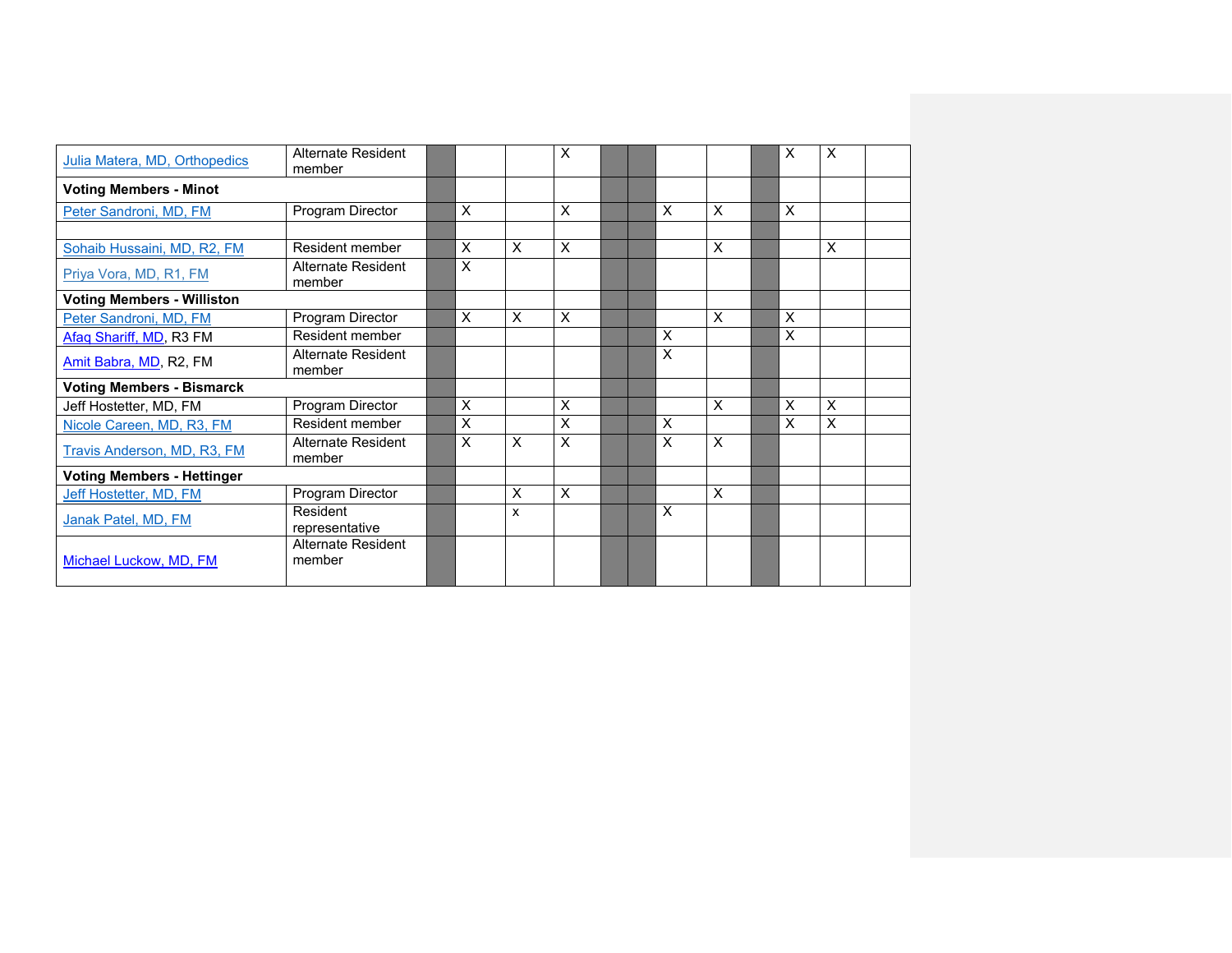| Julia Matera, MD, Orthopedics     | Alternate Resident<br>member        |                           |                           | X            |  |                           |   | $\times$ | X |  |
|-----------------------------------|-------------------------------------|---------------------------|---------------------------|--------------|--|---------------------------|---|----------|---|--|
| <b>Voting Members - Minot</b>     |                                     |                           |                           |              |  |                           |   |          |   |  |
| Peter Sandroni, MD, FM            | Program Director                    | X                         |                           | X            |  | $\times$                  | X | X        |   |  |
|                                   |                                     |                           |                           |              |  |                           |   |          |   |  |
| Sohaib Hussaini, MD, R2, FM       | Resident member                     | $\times$                  | X                         | X            |  |                           | X |          | X |  |
| Priya Vora, MD, R1, FM            | Alternate Resident<br>member        | X                         |                           |              |  |                           |   |          |   |  |
| <b>Voting Members - Williston</b> |                                     |                           |                           |              |  |                           |   |          |   |  |
| Peter Sandroni, MD, FM            | Program Director                    | $\times$                  | X                         | X            |  |                           | X | X        |   |  |
| Afaq Shariff, MD, R3 FM           | Resident member                     |                           |                           |              |  | $\sf X$                   |   | X        |   |  |
| Amit Babra, MD, R2, FM            | <b>Alternate Resident</b><br>member |                           |                           |              |  | $\boldsymbol{\mathsf{X}}$ |   |          |   |  |
| <b>Voting Members - Bismarck</b>  |                                     |                           |                           |              |  |                           |   |          |   |  |
| Jeff Hostetter, MD, FM            | Program Director                    | X                         |                           | X            |  |                           | X | X        | X |  |
| Nicole Careen, MD, R3, FM         | Resident member                     | $\mathsf{x}$              |                           | X            |  | $\times$                  |   | X        | X |  |
| Travis Anderson, MD, R3, FM       | <b>Alternate Resident</b><br>member | $\boldsymbol{\mathsf{X}}$ | $\boldsymbol{\mathsf{X}}$ | X            |  | $\boldsymbol{\mathsf{x}}$ | X |          |   |  |
| <b>Voting Members - Hettinger</b> |                                     |                           |                           |              |  |                           |   |          |   |  |
| Jeff Hostetter, MD, FM            | Program Director                    |                           | $\times$                  | $\mathsf{X}$ |  |                           | X |          |   |  |
| Janak Patel, MD, FM               | Resident<br>representative          |                           | X                         |              |  | $\times$                  |   |          |   |  |
| Michael Luckow, MD, FM            | Alternate Resident<br>member        |                           |                           |              |  |                           |   |          |   |  |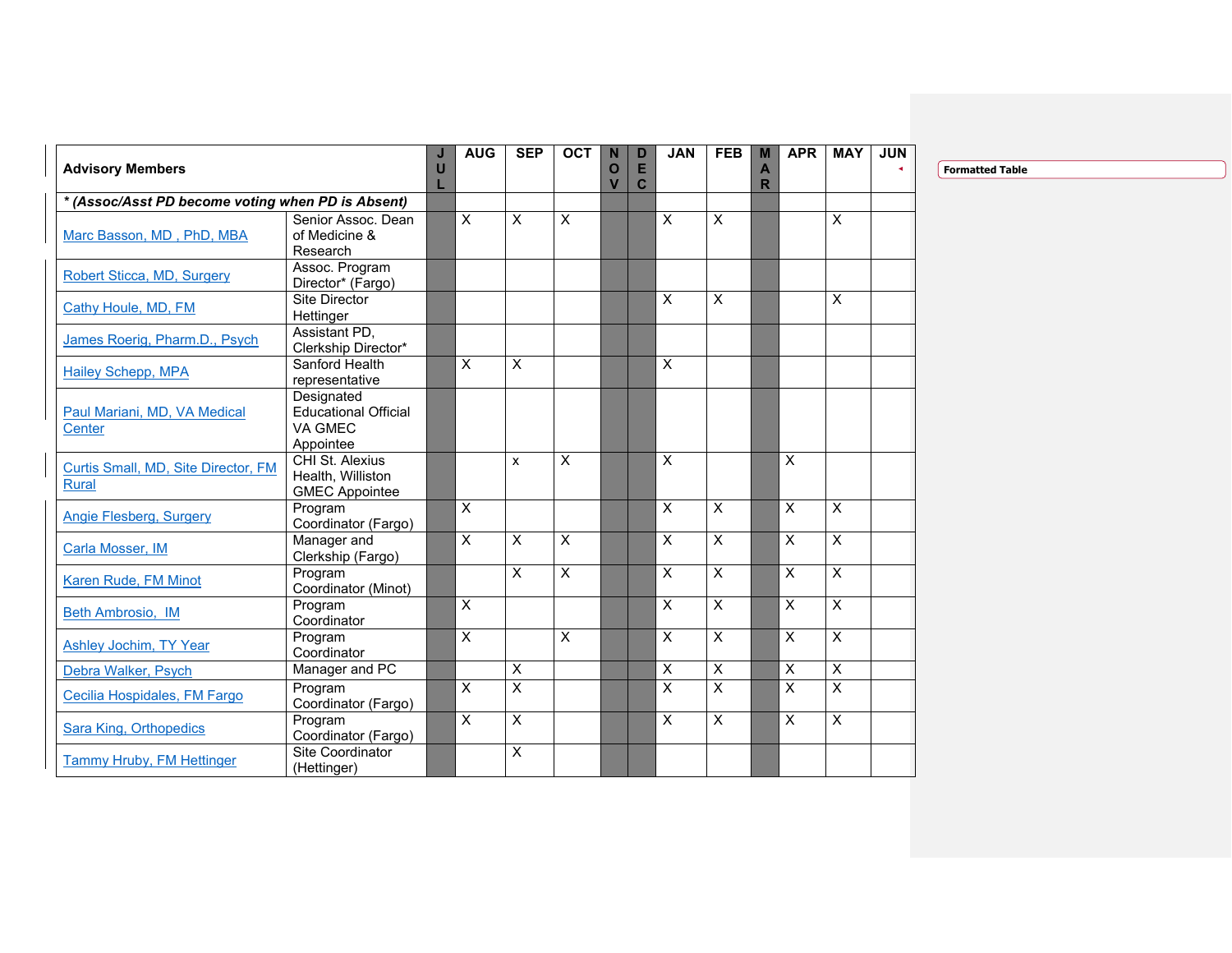| <b>Advisory Members</b>                             |                                                                      | J<br>U | <b>AUG</b>              | <b>SEP</b>              | <b>OCT</b>              | N<br>O<br>$\mathbf v$ | D<br>E<br>$\mathbf{C}$ | <b>JAN</b>              | <b>FEB</b>                | M<br>A<br>R | <b>APR</b>              | <b>MAY</b>              | <b>JUN</b> | <b>Formatted Table</b> |
|-----------------------------------------------------|----------------------------------------------------------------------|--------|-------------------------|-------------------------|-------------------------|-----------------------|------------------------|-------------------------|---------------------------|-------------|-------------------------|-------------------------|------------|------------------------|
| * (Assoc/Asst PD become voting when PD is Absent)   |                                                                      |        |                         |                         |                         |                       |                        |                         |                           |             |                         |                         |            |                        |
| Marc Basson, MD, PhD, MBA                           | Senior Assoc. Dean<br>of Medicine &<br>Research                      |        | $\overline{X}$          | $\overline{\mathsf{x}}$ | $\mathsf{X}$            |                       |                        | $\sf X$                 | $\sf X$                   |             |                         | $\overline{\mathsf{x}}$ |            |                        |
| Robert Sticca, MD, Surgery                          | Assoc. Program<br>Director* (Fargo)                                  |        |                         |                         |                         |                       |                        |                         |                           |             |                         |                         |            |                        |
| Cathy Houle, MD, FM                                 | Site Director<br>Hettinger                                           |        |                         |                         |                         |                       |                        | $\mathsf{x}$            | $\times$                  |             |                         | X                       |            |                        |
| James Roerig, Pharm.D., Psych                       | Assistant PD,<br>Clerkship Director*                                 |        |                         |                         |                         |                       |                        |                         |                           |             |                         |                         |            |                        |
| <b>Hailey Schepp, MPA</b>                           | Sanford Health<br>representative                                     |        | $\sf X$                 | $\overline{\mathsf{x}}$ |                         |                       |                        | $\overline{\mathsf{x}}$ |                           |             |                         |                         |            |                        |
| Paul Mariani, MD, VA Medical<br>Center              | Designated<br><b>Educational Official</b><br>VA GMEC<br>Appointee    |        |                         |                         |                         |                       |                        |                         |                           |             |                         |                         |            |                        |
| Curtis Small, MD. Site Director, FM<br><b>Rural</b> | <b>CHI St. Alexius</b><br>Health, Williston<br><b>GMEC Appointee</b> |        |                         | x                       | X                       |                       |                        | $\sf X$                 |                           |             | X                       |                         |            |                        |
| Angie Flesberg, Surgery                             | Program<br>Coordinator (Fargo)                                       |        | $\overline{X}$          |                         |                         |                       |                        | $\overline{\mathsf{x}}$ | $\overline{\mathsf{x}}$   |             | $\overline{\mathsf{x}}$ | $\overline{X}$          |            |                        |
| Carla Mosser, IM                                    | Manager and<br>Clerkship (Fargo)                                     |        | $\overline{\mathsf{x}}$ | $\overline{\mathsf{x}}$ | $\overline{\mathsf{x}}$ |                       |                        | X                       | $\overline{\mathsf{x}}$   |             | $\overline{\mathsf{x}}$ | $\overline{\mathsf{x}}$ |            |                        |
| Karen Rude, FM Minot                                | Program<br>Coordinator (Minot)                                       |        |                         | X                       | X.                      |                       |                        | $\overline{\mathsf{x}}$ | $\overline{\mathsf{x}}$   |             | $\overline{\mathsf{x}}$ | $\overline{\mathsf{x}}$ |            |                        |
| Beth Ambrosio, IM                                   | Program<br>Coordinator                                               |        | $\overline{X}$          |                         |                         |                       |                        | $\overline{\mathsf{x}}$ | $\overline{\mathsf{x}}$   |             | $\overline{X}$          | $\overline{X}$          |            |                        |
| Ashley Jochim, TY Year                              | Program<br>Coordinator                                               |        | $\overline{X}$          |                         | X                       |                       |                        | $\overline{\mathsf{x}}$ | $\overline{\mathsf{x}}$   |             | $\overline{\mathsf{x}}$ | $\overline{\mathsf{x}}$ |            |                        |
| Debra Walker, Psych                                 | Manager and PC                                                       |        |                         | $\overline{\mathsf{x}}$ |                         |                       |                        | $\overline{\mathsf{x}}$ | $\overline{\mathsf{x}}$   |             | $\overline{\mathsf{x}}$ | $\overline{\mathsf{x}}$ |            |                        |
| Cecilia Hospidales, FM Fargo                        | Program<br>Coordinator (Fargo)                                       |        | $\overline{X}$          | $\overline{\mathsf{x}}$ |                         |                       |                        | $\overline{\mathsf{x}}$ | $\overline{\mathsf{x}}$   |             | $\overline{\mathsf{x}}$ | $\overline{\mathsf{x}}$ |            |                        |
| Sara King, Orthopedics                              | Program<br>Coordinator (Fargo)                                       |        | $\overline{\mathsf{x}}$ | $\overline{\mathsf{x}}$ |                         |                       |                        | $\pmb{\times}$          | $\boldsymbol{\mathsf{X}}$ |             | $\overline{\mathsf{x}}$ | $\overline{\mathsf{x}}$ |            |                        |
| Tammy Hruby, FM Hettinger                           | Site Coordinator<br>(Hettinger)                                      |        |                         | X                       |                         |                       |                        |                         |                           |             |                         |                         |            |                        |